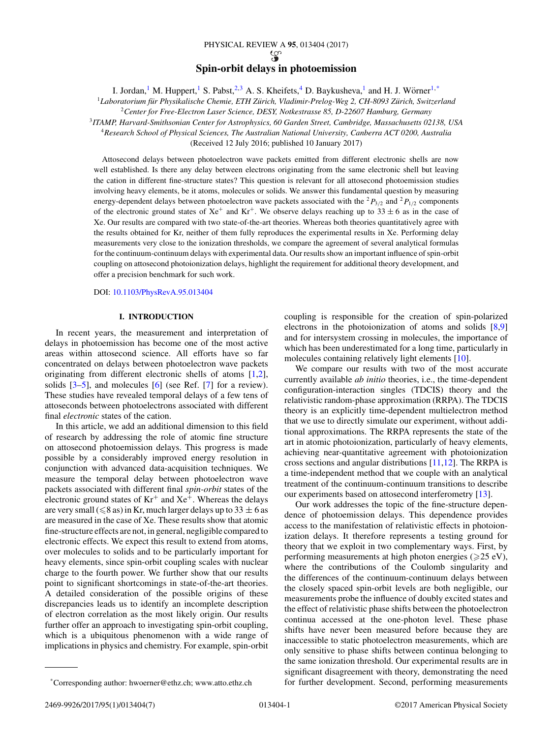# PHYSICAL REVIEW A **95**, 013404 (2017)  $\mathcal{G}$ **Spin-orbit delays in photoemission**

I. Jordan,<sup>1</sup> M. Huppert,<sup>1</sup> S. Pabst,<sup>2,3</sup> A. S. Kheifets,<sup>4</sup> D. Baykusheva,<sup>1</sup> and H. J. Wörner<sup>1,\*</sup>

<sup>1</sup>Laboratorium für Physikalische Chemie, ETH Zürich, Vladimir-Prelog-Weg 2, CH-8093 Zürich, Switzerland

<sup>2</sup>*Center for Free-Electron Laser Science, DESY, Notkestrasse 85, D-22607 Hamburg, Germany*

<sup>3</sup>*ITAMP, Harvard-Smithsonian Center for Astrophysics, 60 Garden Street, Cambridge, Massachusetts 02138, USA*

<sup>4</sup>*Research School of Physical Sciences, The Australian National University, Canberra ACT 0200, Australia*

(Received 12 July 2016; published 10 January 2017)

Attosecond delays between photoelectron wave packets emitted from different electronic shells are now well established. Is there any delay between electrons originating from the same electronic shell but leaving the cation in different fine-structure states? This question is relevant for all attosecond photoemission studies involving heavy elements, be it atoms, molecules or solids. We answer this fundamental question by measuring energy-dependent delays between photoelectron wave packets associated with the  ${}^{2}P_{3/2}$  and  ${}^{2}P_{1/2}$  components of the electronic ground states of  $Xe^+$  and  $Kr^+$ . We observe delays reaching up to 33  $\pm$  6 as in the case of Xe. Our results are compared with two state-of-the-art theories. Whereas both theories quantitatively agree with the results obtained for Kr, neither of them fully reproduces the experimental results in Xe. Performing delay measurements very close to the ionization thresholds, we compare the agreement of several analytical formulas for the continuum-continuum delays with experimental data. Our results show an important influence of spin-orbit coupling on attosecond photoionization delays, highlight the requirement for additional theory development, and offer a precision benchmark for such work.

DOI: [10.1103/PhysRevA.95.013404](https://doi.org/10.1103/PhysRevA.95.013404)

#### **I. INTRODUCTION**

In recent years, the measurement and interpretation of delays in photoemission has become one of the most active areas within attosecond science. All efforts have so far concentrated on delays between photoelectron wave packets originating from different electronic shells of atoms [\[1,2\]](#page-5-0), solids  $[3-5]$ , and molecules  $[6]$  (see Ref. [\[7\]](#page-5-0) for a review). These studies have revealed temporal delays of a few tens of attoseconds between photoelectrons associated with different final *electronic* states of the cation.

In this article, we add an additional dimension to this field of research by addressing the role of atomic fine structure on attosecond photoemission delays. This progress is made possible by a considerably improved energy resolution in conjunction with advanced data-acquisition techniques. We measure the temporal delay between photoelectron wave packets associated with different final *spin-orbit* states of the electronic ground states of  $Kr^+$  and  $Xe^+$ . Whereas the delays are very small ( $\leq 8$  as) in Kr, much larger delays up to 33  $\pm$  6 as are measured in the case of Xe. These results show that atomic fine-structure effects are not, in general, negligible compared to electronic effects. We expect this result to extend from atoms, over molecules to solids and to be particularly important for heavy elements, since spin-orbit coupling scales with nuclear charge to the fourth power. We further show that our results point to significant shortcomings in state-of-the-art theories. A detailed consideration of the possible origins of these discrepancies leads us to identify an incomplete description of electron correlation as the most likely origin. Our results further offer an approach to investigating spin-orbit coupling, which is a ubiquitous phenomenon with a wide range of implications in physics and chemistry. For example, spin-orbit

coupling is responsible for the creation of spin-polarized electrons in the photoionization of atoms and solids [\[8,9\]](#page-5-0) and for intersystem crossing in molecules, the importance of which has been underestimated for a long time, particularly in molecules containing relatively light elements [\[10\]](#page-5-0).

We compare our results with two of the most accurate currently available *ab initio* theories, i.e., the time-dependent configuration-interaction singles (TDCIS) theory and the relativistic random-phase approximation (RRPA). The TDCIS theory is an explicitly time-dependent multielectron method that we use to directly simulate our experiment, without additional approximations. The RRPA represents the state of the art in atomic photoionization, particularly of heavy elements, achieving near-quantitative agreement with photoionization cross sections and angular distributions [\[11,12\]](#page-5-0). The RRPA is a time-independent method that we couple with an analytical treatment of the continuum-continuum transitions to describe our experiments based on attosecond interferometry [\[13\]](#page-5-0).

Our work addresses the topic of the fine-structure dependence of photoemission delays. This dependence provides access to the manifestation of relativistic effects in photoionization delays. It therefore represents a testing ground for theory that we exploit in two complementary ways. First, by performing measurements at high photon energies ( $\geq 25$  eV), where the contributions of the Coulomb singularity and the differences of the continuum-continuum delays between the closely spaced spin-orbit levels are both negligible, our measurements probe the influence of doubly excited states and the effect of relativistic phase shifts between the photoelectron continua accessed at the one-photon level. These phase shifts have never been measured before because they are inaccessible to static photoelectron measurements, which are only sensitive to phase shifts between continua belonging to the same ionization threshold. Our experimental results are in significant disagreement with theory, demonstrating the need for further development. Second, performing measurements

<sup>\*</sup>Corresponding author: hwoerner@ethz.ch; www.atto.ethz.ch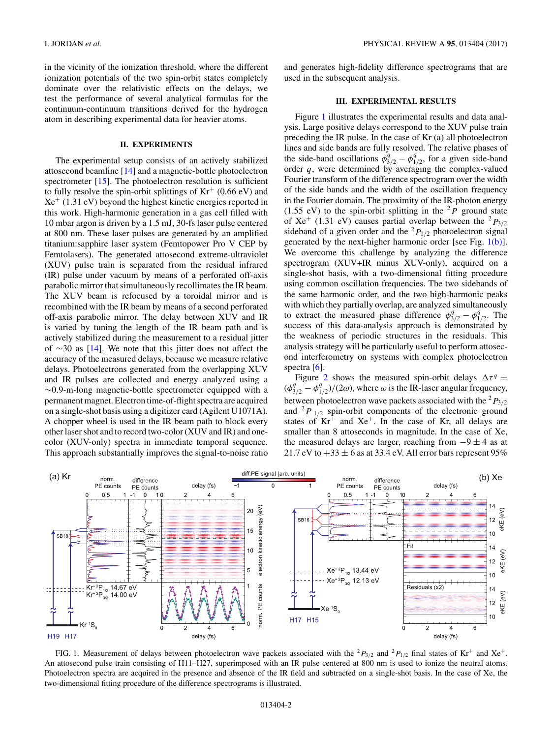in the vicinity of the ionization threshold, where the different ionization potentials of the two spin-orbit states completely dominate over the relativistic effects on the delays, we test the performance of several analytical formulas for the continuum-continuum transitions derived for the hydrogen atom in describing experimental data for heavier atoms.

### **II. EXPERIMENTS**

The experimental setup consists of an actively stabilized attosecond beamline [\[14\]](#page-5-0) and a magnetic-bottle photoelectron spectrometer [\[15\]](#page-5-0). The photoelectron resolution is sufficient to fully resolve the spin-orbit splittings of  $Kr^+$  (0.66 eV) and  $Xe^+$  (1.31 eV) beyond the highest kinetic energies reported in this work. High-harmonic generation in a gas cell filled with 10 mbar argon is driven by a 1.5 mJ, 30-fs laser pulse centered at 800 nm. These laser pulses are generated by an amplified titanium:sapphire laser system (Femtopower Pro V CEP by Femtolasers). The generated attosecond extreme-ultraviolet (XUV) pulse train is separated from the residual infrared (IR) pulse under vacuum by means of a perforated off-axis parabolic mirror that simultaneously recollimates the IR beam. The XUV beam is refocused by a toroidal mirror and is recombined with the IR beam by means of a second perforated off-axis parabolic mirror. The delay between XUV and IR is varied by tuning the length of the IR beam path and is actively stabilized during the measurement to a residual jitter of ∼30 as [\[14\]](#page-5-0). We note that this jitter does not affect the accuracy of the measured delays, because we measure relative delays. Photoelectrons generated from the overlapping XUV and IR pulses are collected and energy analyzed using a ∼0*.*9-m-long magnetic-bottle spectrometer equipped with a permanent magnet. Electron time-of-flight spectra are acquired on a single-shot basis using a digitizer card (Agilent U1071A). A chopper wheel is used in the IR beam path to block every other laser shot and to record two-color (XUV and IR) and onecolor (XUV-only) spectra in immediate temporal sequence. This approach substantially improves the signal-to-noise ratio

and generates high-fidelity difference spectrograms that are used in the subsequent analysis.

## **III. EXPERIMENTAL RESULTS**

Figure 1 illustrates the experimental results and data analysis. Large positive delays correspond to the XUV pulse train preceding the IR pulse. In the case of Kr (a) all photoelectron lines and side bands are fully resolved. The relative phases of the side-band oscillations  $\phi_{3/2}^q - \phi_{1/2}^q$ , for a given side-band order *q*, were determined by averaging the complex-valued Fourier transform of the difference spectrogram over the width of the side bands and the width of the oscillation frequency in the Fourier domain. The proximity of the IR-photon energy (1.55 eV) to the spin-orbit splitting in the  ${}^{2}P$  ground state of Xe<sup>+</sup> (1.31 eV) causes partial overlap between the <sup>2</sup> $P_{3/2}$ sideband of a given order and the  ${}^{2}P_{1/2}$  photoelectron signal generated by the next-higher harmonic order [see Fig. 1(b)]. We overcome this challenge by analyzing the difference spectrogram (XUV+IR minus XUV-only), acquired on a single-shot basis, with a two-dimensional fitting procedure using common oscillation frequencies. The two sidebands of the same harmonic order, and the two high-harmonic peaks with which they partially overlap, are analyzed simultaneously to extract the measured phase difference  $\phi_{3/2}^q - \phi_{1/2}^q$ . The success of this data-analysis approach is demonstrated by the weakness of periodic structures in the residuals. This analysis strategy will be particularly useful to perform attosecond interferometry on systems with complex photoelectron spectra  $[6]$ .

Figure [2](#page-2-0) shows the measured spin-orbit delays  $\Delta \tau^q$  =  $(\phi_{3/2}^q - \phi_{1/2}^q)/(2\omega)$ , where  $\omega$  is the IR-laser angular frequency, between photoelectron wave packets associated with the <sup>2</sup> *P*3*/*2 and  ${}^{2}P_{1/2}$  spin-orbit components of the electronic ground states of  $Kr^+$  and  $Xe^+$ . In the case of Kr, all delays are smaller than 8 attoseconds in magnitude. In the case of Xe, the measured delays are larger, reaching from  $-9 \pm 4$  as at 21.7 eV to  $+33 \pm 6$  as at 33.4 eV. All error bars represent 95%



FIG. 1. Measurement of delays between photoelectron wave packets associated with the  ${}^{2}P_{3/2}$  and  ${}^{2}P_{1/2}$  final states of Kr<sup>+</sup> and Xe<sup>+</sup>. An attosecond pulse train consisting of H11–H27, superimposed with an IR pulse centered at 800 nm is used to ionize the neutral atoms. Photoelectron spectra are acquired in the presence and absence of the IR field and subtracted on a single-shot basis. In the case of Xe, the two-dimensional fitting procedure of the difference spectrograms is illustrated.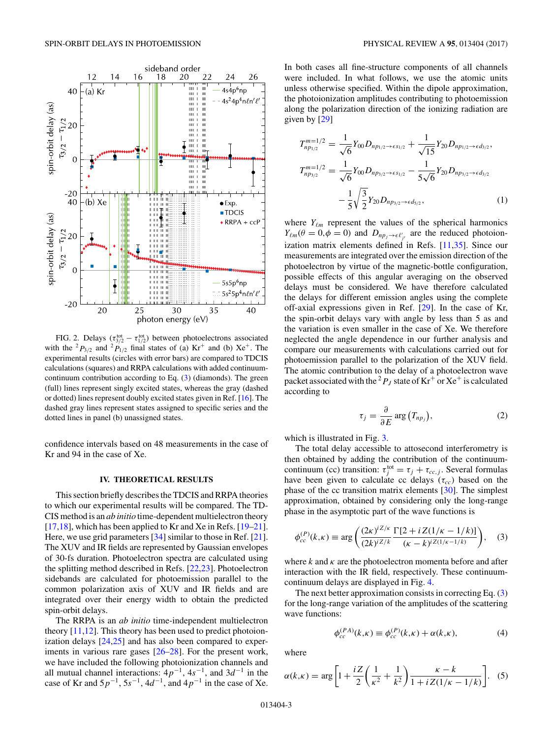<span id="page-2-0"></span>

FIG. 2. Delays  $(\tau_{3/2}^{tot} - \tau_{1/2}^{tot})$  between photoelectrons associated with the <sup>2</sup> $P_{3/2}$  and <sup>2</sup> $P_{1/2}$  final states of (a) Kr<sup>+</sup> and (b) Xe<sup>+</sup>. The experimental results (circles with error bars) are compared to TDCIS calculations (squares) and RRPA calculations with added continuumcontinuum contribution according to Eq. (3) (diamonds). The green (full) lines represent singly excited states, whereas the gray (dashed or dotted) lines represent doubly excited states given in Ref. [\[16\]](#page-5-0). The dashed gray lines represent states assigned to specific series and the dotted lines in panel (b) unassigned states.

confidence intervals based on 48 measurements in the case of Kr and 94 in the case of Xe.

## **IV. THEORETICAL RESULTS**

This section briefly describes the TDCIS and RRPA theories to which our experimental results will be compared. The TD-CIS method is an *ab initio* time-dependent multielectron theory [\[17,18\]](#page-5-0), which has been applied to Kr and Xe in Refs. [\[19–21\]](#page-5-0). Here, we use grid parameters [\[34\]](#page-5-0) similar to those in Ref. [\[21\]](#page-5-0). The XUV and IR fields are represented by Gaussian envelopes of 30-fs duration. Photoelectron spectra are calculated using the splitting method described in Refs. [\[22,23\]](#page-5-0). Photoelectron sidebands are calculated for photoemission parallel to the common polarization axis of XUV and IR fields and are integrated over their energy width to obtain the predicted spin-orbit delays.

The RRPA is an *ab initio* time-independent multielectron theory  $[11,12]$ . This theory has been used to predict photoionization delays [\[24,25\]](#page-5-0) and has also been compared to experiments in various rare gases [\[26–28\]](#page-5-0). For the present work, we have included the following photoionization channels and all mutual channel interactions: 4*p*−1, 4*s*−1, and 3*d*−<sup>1</sup> in the case of Kr and 5*p*−1, 5*s*−1, 4*d*−1, and 4*p*−<sup>1</sup> in the case of Xe.

In both cases all fine-structure components of all channels were included. In what follows, we use the atomic units unless otherwise specified. Within the dipole approximation, the photoionization amplitudes contributing to photoemission along the polarization direction of the ionizing radiation are given by [\[29\]](#page-5-0)

$$
T_{np_{1/2}}^{m=1/2} = \frac{1}{\sqrt{6}} Y_{00} D_{np_{1/2} \to \epsilon s_{1/2}} + \frac{1}{\sqrt{15}} Y_{20} D_{np_{1/2} \to \epsilon d_{3/2}},
$$
  
\n
$$
T_{np_{3/2}}^{m=1/2} = \frac{1}{\sqrt{6}} Y_{00} D_{np_{3/2} \to \epsilon s_{1/2}} - \frac{1}{5\sqrt{6}} Y_{20} D_{np_{3/2} \to \epsilon d_{3/2}},
$$
  
\n
$$
-\frac{1}{5} \sqrt{\frac{3}{2}} Y_{20} D_{np_{3/2} \to \epsilon d_{3/2}},
$$
  
\n(1)

where  $Y_{\ell m}$  represent the values of the spherical harmonics  $Y_{\ell m}(\theta = 0, \phi = 0)$  and  $D_{np_j \to \epsilon \ell'_{j'}}$  are the reduced photoionization matrix elements defined in Refs. [\[11,](#page-5-0)[35\]](#page-6-0). Since our measurements are integrated over the emission direction of the photoelectron by virtue of the magnetic-bottle configuration, possible effects of this angular averaging on the observed delays must be considered. We have therefore calculated the delays for different emission angles using the complete off-axial expressions given in Ref. [\[29\]](#page-5-0). In the case of Kr, the spin-orbit delays vary with angle by less than 5 as and the variation is even smaller in the case of Xe. We therefore neglected the angle dependence in our further analysis and compare our measurements with calculations carried out for photoemission parallel to the polarization of the XUV field. The atomic contribution to the delay of a photoelectron wave packet associated with the <sup>2</sup>  $P_J$  state of  $\mathrm{Kr}^+$  or  $\mathrm{Xe}^+$  is calculated according to

$$
\tau_j = \frac{\partial}{\partial E} \arg \big( T_{np_j} \big), \tag{2}
$$

which is illustrated in Fig. [3.](#page-3-0)

The total delay accessible to attosecond interferometry is then obtained by adding the contribution of the continuumcontinuum (cc) transition:  $\tau_j^{\text{tot}} = \tau_j + \tau_{cc,j}$ . Several formulas have been given to calculate cc delays  $(\tau_{cc})$  based on the phase of the cc transition matrix elements [\[30\]](#page-5-0). The simplest approximation, obtained by considering only the long-range phase in the asymptotic part of the wave functions is

$$
\phi_{cc}^{(P)}(k,\kappa) \equiv \arg\left(\frac{(2\kappa)^{iZ/\kappa}}{(2k)^{iZ/\kappa}} \frac{\Gamma[2+iZ(1/\kappa-1/k)]}{(\kappa-k)^{iZ(1/\kappa-1/k)}}\right),\tag{3}
$$

where  $k$  and  $k$  are the photoelectron momenta before and after interaction with the IR field, respectively. These continuumcontinuum delays are displayed in Fig. [4.](#page-3-0)

The next better approximation consists in correcting Eq. (3) for the long-range variation of the amplitudes of the scattering wave functions:

$$
\phi_{cc}^{(PA)}(k,\kappa) \equiv \phi_{cc}^{(P)}(k,\kappa) + \alpha(k,\kappa),\tag{4}
$$

where

$$
\alpha(k,\kappa) = \arg \left[ 1 + \frac{iZ}{2} \left( \frac{1}{\kappa^2} + \frac{1}{k^2} \right) \frac{\kappa - k}{1 + iZ(1/\kappa - 1/k)} \right].
$$
 (5)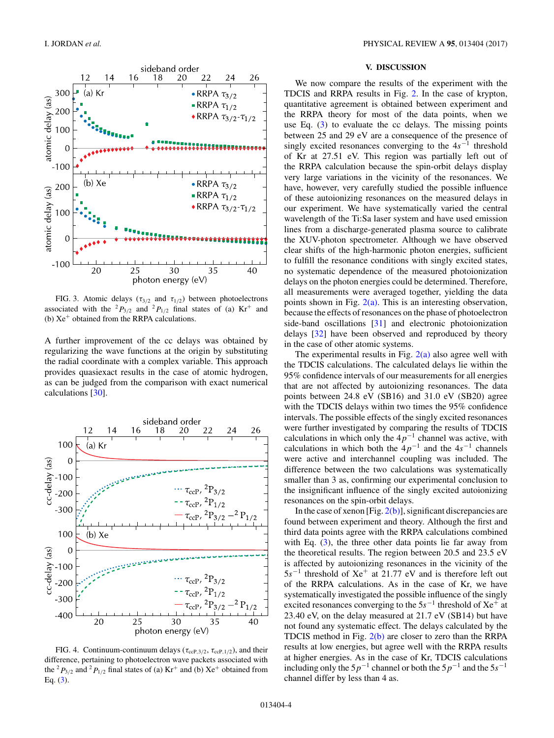<span id="page-3-0"></span>

FIG. 3. Atomic delays ( $\tau_{3/2}$  and  $\tau_{1/2}$ ) between photoelectrons associated with the <sup>2</sup> $P_{3/2}$  and <sup>2</sup> $P_{1/2}$  final states of (a) Kr<sup>+</sup> and (b)  $Xe^+$  obtained from the RRPA calculations.

A further improvement of the cc delays was obtained by regularizing the wave functions at the origin by substituting the radial coordinate with a complex variable. This approach provides quasiexact results in the case of atomic hydrogen, as can be judged from the comparison with exact numerical calculations [\[30\]](#page-5-0).



FIG. 4. Continuum-continuum delays ( $\tau_{\text{ccP,3/2}}$ ,  $\tau_{\text{ccP,1/2}}$ ), and their difference, pertaining to photoelectron wave packets associated with the <sup>2</sup> $P_{3/2}$  and <sup>2</sup> $P_{1/2}$  final states of (a) Kr<sup>+</sup> and (b) Xe<sup>+</sup> obtained from Eq.  $(3)$ .

# **V. DISCUSSION**

We now compare the results of the experiment with the TDCIS and RRPA results in Fig. [2.](#page-2-0) In the case of krypton, quantitative agreement is obtained between experiment and the RRPA theory for most of the data points, when we use Eq.  $(3)$  to evaluate the cc delays. The missing points between 25 and 29 eV are a consequence of the presence of singly excited resonances converging to the 4*s*−<sup>1</sup> threshold of Kr at 27.51 eV. This region was partially left out of the RRPA calculation because the spin-orbit delays display very large variations in the vicinity of the resonances. We have, however, very carefully studied the possible influence of these autoionizing resonances on the measured delays in our experiment. We have systematically varied the central wavelength of the Ti:Sa laser system and have used emission lines from a discharge-generated plasma source to calibrate the XUV-photon spectrometer. Although we have observed clear shifts of the high-harmonic photon energies, sufficient to fulfill the resonance conditions with singly excited states, no systematic dependence of the measured photoionization delays on the photon energies could be determined. Therefore, all measurements were averaged together, yielding the data points shown in Fig.  $2(a)$ . This is an interesting observation, because the effects of resonances on the phase of photoelectron side-band oscillations [\[31\]](#page-5-0) and electronic photoionization delays [\[32\]](#page-5-0) have been observed and reproduced by theory in the case of other atomic systems.

The experimental results in Fig.  $2(a)$  also agree well with the TDCIS calculations. The calculated delays lie within the 95% confidence intervals of our measurements for all energies that are not affected by autoionizing resonances. The data points between 24.8 eV (SB16) and 31.0 eV (SB20) agree with the TDCIS delays within two times the 95% confidence intervals. The possible effects of the singly excited resonances were further investigated by comparing the results of TDCIS calculations in which only the  $4p^{-1}$  channel was active, with calculations in which both the  $4p^{-1}$  and the  $4s^{-1}$  channels were active and interchannel coupling was included. The difference between the two calculations was systematically smaller than 3 as, confirming our experimental conclusion to the insignificant influence of the singly excited autoionizing resonances on the spin-orbit delays.

In the case of xenon [Fig.  $2(b)$ ], significant discrepancies are found between experiment and theory. Although the first and third data points agree with the RRPA calculations combined with Eq. [\(3\)](#page-2-0), the three other data points lie far away from the theoretical results. The region between 20.5 and 23.5 eV is affected by autoionizing resonances in the vicinity of the 5*s*−<sup>1</sup> threshold of Xe<sup>+</sup> at 21.77 eV and is therefore left out of the RRPA calculations. As in the case of Kr, we have systematically investigated the possible influence of the singly excited resonances converging to the 5*s*−<sup>1</sup> threshold of Xe<sup>+</sup> at 23.40 eV, on the delay measured at 21.7 eV (SB14) but have not found any systematic effect. The delays calculated by the TDCIS method in Fig. [2\(b\)](#page-2-0) are closer to zero than the RRPA results at low energies, but agree well with the RRPA results at higher energies. As in the case of Kr, TDCIS calculations including only the  $5p^{-1}$  channel or both the  $5p^{-1}$  and the  $5s^{-1}$ channel differ by less than 4 as.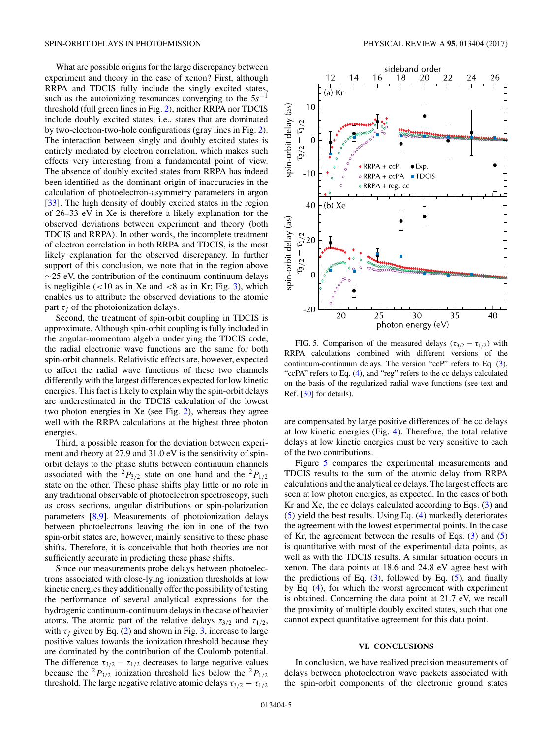What are possible origins for the large discrepancy between experiment and theory in the case of xenon? First, although RRPA and TDCIS fully include the singly excited states, such as the autoionizing resonances converging to the 5*s*−<sup>1</sup> threshold (full green lines in Fig. [2\)](#page-2-0), neither RRPA nor TDCIS include doubly excited states, i.e., states that are dominated by two-electron-two-hole configurations (gray lines in Fig. [2\)](#page-2-0). The interaction between singly and doubly excited states is entirely mediated by electron correlation, which makes such effects very interesting from a fundamental point of view. The absence of doubly excited states from RRPA has indeed been identified as the dominant origin of inaccuracies in the calculation of photoelectron-asymmetry parameters in argon [\[33\]](#page-5-0). The high density of doubly excited states in the region of 26–33 eV in Xe is therefore a likely explanation for the observed deviations between experiment and theory (both TDCIS and RRPA). In other words, the incomplete treatment of electron correlation in both RRPA and TDCIS, is the most likely explanation for the observed discrepancy. In further support of this conclusion, we note that in the region above ∼25 eV, the contribution of the continuum-continuum delays is negligible (*<*10 as in Xe and *<*8 as in Kr; Fig. [3\)](#page-3-0), which enables us to attribute the observed deviations to the atomic part  $\tau_i$  of the photoionization delays.

Second, the treatment of spin-orbit coupling in TDCIS is approximate. Although spin-orbit coupling is fully included in the angular-momentum algebra underlying the TDCIS code, the radial electronic wave functions are the same for both spin-orbit channels. Relativistic effects are, however, expected to affect the radial wave functions of these two channels differently with the largest differences expected for low kinetic energies. This fact is likely to explain why the spin-orbit delays are underestimated in the TDCIS calculation of the lowest two photon energies in Xe (see Fig. [2\)](#page-2-0), whereas they agree well with the RRPA calculations at the highest three photon energies.

Third, a possible reason for the deviation between experiment and theory at 27.9 and 31.0 eV is the sensitivity of spinorbit delays to the phase shifts between continuum channels associated with the <sup>2</sup> $P_{3/2}$  state on one hand and the <sup>2</sup> $P_{1/2}$ state on the other. These phase shifts play little or no role in any traditional observable of photoelectron spectroscopy, such as cross sections, angular distributions or spin-polarization parameters [\[8,9\]](#page-5-0). Measurements of photoionization delays between photoelectrons leaving the ion in one of the two spin-orbit states are, however, mainly sensitive to these phase shifts. Therefore, it is conceivable that both theories are not sufficiently accurate in predicting these phase shifts.

Since our measurements probe delays between photoelectrons associated with close-lying ionization thresholds at low kinetic energies they additionally offer the possibility of testing the performance of several analytical expressions for the hydrogenic continuum-continuum delays in the case of heavier atoms. The atomic part of the relative delays  $\tau_{3/2}$  and  $\tau_{1/2}$ , with  $\tau_j$  given by Eq. [\(2\)](#page-2-0) and shown in Fig. [3,](#page-3-0) increase to large positive values towards the ionization threshold because they are dominated by the contribution of the Coulomb potential. The difference  $\tau_{3/2} - \tau_{1/2}$  decreases to large negative values because the <sup>2</sup> $P_{3/2}$  ionization threshold lies below the <sup>2</sup> $P_{1/2}$ threshold. The large negative relative atomic delays  $\tau_{3/2} - \tau_{1/2}$ 



FIG. 5. Comparison of the measured delays ( $\tau_{3/2} - \tau_{1/2}$ ) with RRPA calculations combined with different versions of the continuum-continuum delays. The version "ccP" refers to Eq. [\(3\)](#page-2-0), "ccPA" refers to Eq. [\(4\)](#page-2-0), and "reg" refers to the cc delays calculated on the basis of the regularized radial wave functions (see text and Ref. [\[30\]](#page-5-0) for details).

are compensated by large positive differences of the cc delays at low kinetic energies (Fig. [4\)](#page-3-0). Therefore, the total relative delays at low kinetic energies must be very sensitive to each of the two contributions.

Figure 5 compares the experimental measurements and TDCIS results to the sum of the atomic delay from RRPA calculations and the analytical cc delays. The largest effects are seen at low photon energies, as expected. In the cases of both Kr and Xe, the cc delays calculated according to Eqs. [\(3\)](#page-2-0) and [\(5\)](#page-2-0) yield the best results. Using Eq. [\(4\)](#page-2-0) markedly deteriorates the agreement with the lowest experimental points. In the case of Kr, the agreement between the results of Eqs. [\(3\)](#page-2-0) and [\(5\)](#page-2-0) is quantitative with most of the experimental data points, as well as with the TDCIS results. A similar situation occurs in xenon. The data points at 18.6 and 24.8 eV agree best with the predictions of Eq.  $(3)$ , followed by Eq.  $(5)$ , and finally by Eq. [\(4\)](#page-2-0), for which the worst agreement with experiment is obtained. Concerning the data point at 21.7 eV, we recall the proximity of multiple doubly excited states, such that one cannot expect quantitative agreement for this data point.

### **VI. CONCLUSIONS**

In conclusion, we have realized precision measurements of delays between photoelectron wave packets associated with the spin-orbit components of the electronic ground states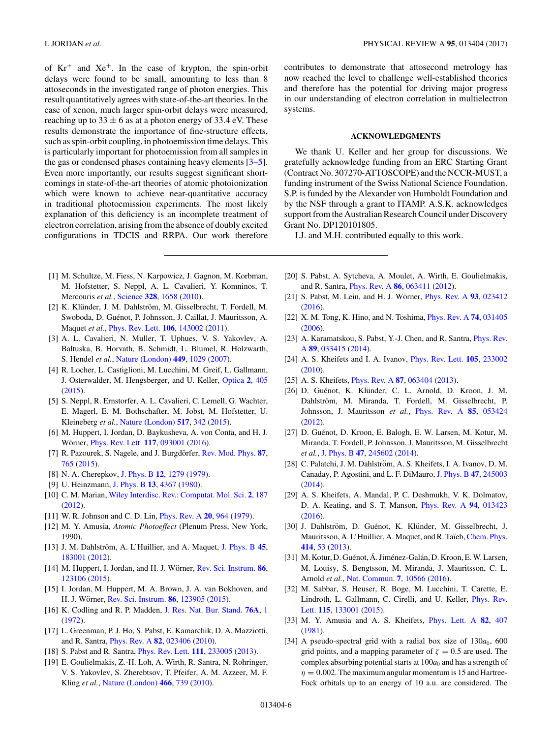<span id="page-5-0"></span>of  $Kr^+$  and  $Xe^+$ . In the case of krypton, the spin-orbit delays were found to be small, amounting to less than 8 attoseconds in the investigated range of photon energies. This result quantitatively agrees with state-of-the-art theories. In the case of xenon, much larger spin-orbit delays were measured, reaching up to  $33 \pm 6$  as at a photon energy of 33.4 eV. These results demonstrate the importance of fine-structure effects, such as spin-orbit coupling, in photoemission time delays. This is particularly important for photoemission from all samples in the gas or condensed phases containing heavy elements [3–5]. Even more importantly, our results suggest significant shortcomings in state-of-the-art theories of atomic photoionization which were known to achieve near-quantitative accuracy in traditional photoemission experiments. The most likely explanation of this deficiency is an incomplete treatment of electron correlation, arising from the absence of doubly excited configurations in TDCIS and RRPA. Our work therefore contributes to demonstrate that attosecond metrology has now reached the level to challenge well-established theories and therefore has the potential for driving major progress in our understanding of electron correlation in multielectron systems.

## **ACKNOWLEDGMENTS**

We thank U. Keller and her group for discussions. We gratefully acknowledge funding from an ERC Starting Grant (Contract No. 307270-ATTOSCOPE) and the NCCR-MUST, a funding instrument of the Swiss National Science Foundation. S.P. is funded by the Alexander von Humboldt Foundation and by the NSF through a grant to ITAMP. A.S.K. acknowledges support from the Australian Research Council under Discovery Grant No. DP120101805.

I.J. and M.H. contributed equally to this work.

- [1] M. Schultze, M. Fiess, N. Karpowicz, J. Gagnon, M. Korbman, M. Hofstetter, S. Neppl, A. L. Cavalieri, Y. Komninos, T. Mercouris *et al.*, [Science](https://doi.org/10.1126/science.1189401) **[328](https://doi.org/10.1126/science.1189401)**, [1658](https://doi.org/10.1126/science.1189401) [\(2010\)](https://doi.org/10.1126/science.1189401).
- [2] K. Klünder, J. M. Dahlström, M. Gisselbrecht, T. Fordell, M. Swoboda, D. Guénot, P. Johnsson, J. Caillat, J. Mauritsson, A. Maquet *et al.*, [Phys. Rev. Lett.](https://doi.org/10.1103/PhysRevLett.106.143002) **[106](https://doi.org/10.1103/PhysRevLett.106.143002)**, [143002](https://doi.org/10.1103/PhysRevLett.106.143002) [\(2011\)](https://doi.org/10.1103/PhysRevLett.106.143002).
- [3] A. L. Cavalieri, N. Muller, T. Uphues, V. S. Yakovlev, A. Baltuska, B. Horvath, B. Schmidt, L. Blumel, R. Holzwarth, S. Hendel *et al.*, [Nature \(London\)](https://doi.org/10.1038/nature06229) **[449](https://doi.org/10.1038/nature06229)**, [1029](https://doi.org/10.1038/nature06229) [\(2007\)](https://doi.org/10.1038/nature06229).
- [4] R. Locher, L. Castiglioni, M. Lucchini, M. Greif, L. Gallmann, J. Osterwalder, M. Hengsberger, and U. Keller, [Optica](https://doi.org/10.1364/OPTICA.2.000405) **[2](https://doi.org/10.1364/OPTICA.2.000405)**, [405](https://doi.org/10.1364/OPTICA.2.000405) [\(2015\)](https://doi.org/10.1364/OPTICA.2.000405).
- [5] S. Neppl, R. Ernstorfer, A. L. Cavalieri, C. Lemell, G. Wachter, E. Magerl, E. M. Bothschafter, M. Jobst, M. Hofstetter, U. Kleineberg *et al.*, [Nature \(London\)](https://doi.org/10.1038/nature14094) **[517](https://doi.org/10.1038/nature14094)**, [342](https://doi.org/10.1038/nature14094) [\(2015\)](https://doi.org/10.1038/nature14094).
- [6] M. Huppert, I. Jordan, D. Baykusheva, A. von Conta, and H. J. Wörner, *[Phys. Rev. Lett.](https://doi.org/10.1103/PhysRevLett.117.093001)* **[117](https://doi.org/10.1103/PhysRevLett.117.093001)**, [093001](https://doi.org/10.1103/PhysRevLett.117.093001) [\(2016\)](https://doi.org/10.1103/PhysRevLett.117.093001).
- [7] R. Pazourek, S. Nagele, and J. Burgdörfer, *[Rev. Mod. Phys.](https://doi.org/10.1103/RevModPhys.87.765) [87](https://doi.org/10.1103/RevModPhys.87.765)*, [765](https://doi.org/10.1103/RevModPhys.87.765) [\(2015\)](https://doi.org/10.1103/RevModPhys.87.765).
- [8] N. A. Cherepkov, [J. Phys. B](https://doi.org/10.1088/0022-3700/12/8/005) **[12](https://doi.org/10.1088/0022-3700/12/8/005)**, [1279](https://doi.org/10.1088/0022-3700/12/8/005) [\(1979\)](https://doi.org/10.1088/0022-3700/12/8/005).
- [9] U. Heinzmann, [J. Phys. B](https://doi.org/10.1088/0022-3700/13/22/011) **[13](https://doi.org/10.1088/0022-3700/13/22/011)**, [4367](https://doi.org/10.1088/0022-3700/13/22/011) [\(1980\)](https://doi.org/10.1088/0022-3700/13/22/011).
- [10] C. M. Marian, [Wiley Interdisc. Rev.: Computat. Mol. Sci.](https://doi.org/10.1002/wcms.83) **[2](https://doi.org/10.1002/wcms.83)**, [187](https://doi.org/10.1002/wcms.83) [\(2012\)](https://doi.org/10.1002/wcms.83).
- [11] W. R. Johnson and C. D. Lin, [Phys. Rev. A](https://doi.org/10.1103/PhysRevA.20.964) **[20](https://doi.org/10.1103/PhysRevA.20.964)**, [964](https://doi.org/10.1103/PhysRevA.20.964) [\(1979\)](https://doi.org/10.1103/PhysRevA.20.964).
- [12] M. Y. Amusia, *Atomic Photoeffect* (Plenum Press, New York, 1990).
- [13] J. M. Dahlström, A. L'Huillier, and A. Maquet, [J. Phys. B](https://doi.org/10.1088/0953-4075/45/18/183001) [45](https://doi.org/10.1088/0953-4075/45/18/183001), [183001](https://doi.org/10.1088/0953-4075/45/18/183001) [\(2012\)](https://doi.org/10.1088/0953-4075/45/18/183001).
- [14] M. Huppert, I. Jordan, and H. J. Wörner, [Rev. Sci. Instrum.](https://doi.org/10.1063/1.4937623) [86](https://doi.org/10.1063/1.4937623), [123106](https://doi.org/10.1063/1.4937623) [\(2015\)](https://doi.org/10.1063/1.4937623).
- [15] I. Jordan, M. Huppert, M. A. Brown, J. A. van Bokhoven, and H. J. Wörner, [Rev. Sci. Instrum.](https://doi.org/10.1063/1.4938175) **[86](https://doi.org/10.1063/1.4938175)**, [123905](https://doi.org/10.1063/1.4938175) [\(2015\)](https://doi.org/10.1063/1.4938175).
- [16] K. Codling and R. P. Madden, [J. Res. Nat. Bur. Stand.](https://doi.org/10.6028/jres.076A.001) **[76A](https://doi.org/10.6028/jres.076A.001)**, [1](https://doi.org/10.6028/jres.076A.001) [\(1972\)](https://doi.org/10.6028/jres.076A.001).
- [17] L. Greenman, P. J. Ho, S. Pabst, E. Kamarchik, D. A. Mazziotti, and R. Santra, [Phys. Rev. A](https://doi.org/10.1103/PhysRevA.82.023406) **[82](https://doi.org/10.1103/PhysRevA.82.023406)**, [023406](https://doi.org/10.1103/PhysRevA.82.023406) [\(2010\)](https://doi.org/10.1103/PhysRevA.82.023406).
- [18] S. Pabst and R. Santra, [Phys. Rev. Lett.](https://doi.org/10.1103/PhysRevLett.111.233005) **[111](https://doi.org/10.1103/PhysRevLett.111.233005)**, [233005](https://doi.org/10.1103/PhysRevLett.111.233005) [\(2013\)](https://doi.org/10.1103/PhysRevLett.111.233005).
- [19] E. Goulielmakis, Z.-H. Loh, A. Wirth, R. Santra, N. Rohringer, V. S. Yakovlev, S. Zherebtsov, T. Pfeifer, A. M. Azzeer, M. F. Kling *et al.*, [Nature \(London\)](https://doi.org/10.1038/nature09212) **[466](https://doi.org/10.1038/nature09212)**, [739](https://doi.org/10.1038/nature09212) [\(2010\)](https://doi.org/10.1038/nature09212).
- [20] S. Pabst, A. Sytcheva, A. Moulet, A. Wirth, E. Goulielmakis, and R. Santra, [Phys. Rev. A](https://doi.org/10.1103/PhysRevA.86.063411) **[86](https://doi.org/10.1103/PhysRevA.86.063411)**, [063411](https://doi.org/10.1103/PhysRevA.86.063411) [\(2012\)](https://doi.org/10.1103/PhysRevA.86.063411).
- [21] S. Pabst, M. Lein, and H. J. Wörner, *[Phys. Rev. A](https://doi.org/10.1103/PhysRevA.93.023412)* [93](https://doi.org/10.1103/PhysRevA.93.023412), [023412](https://doi.org/10.1103/PhysRevA.93.023412) [\(2016\)](https://doi.org/10.1103/PhysRevA.93.023412).
- [22] X. M. Tong, K. Hino, and N. Toshima, [Phys. Rev. A](https://doi.org/10.1103/PhysRevA.74.031405) **[74](https://doi.org/10.1103/PhysRevA.74.031405)**, [031405](https://doi.org/10.1103/PhysRevA.74.031405) [\(2006\)](https://doi.org/10.1103/PhysRevA.74.031405).
- [23] [A. Karamatskou, S. Pabst, Y.-J. Chen, and R. Santra,](https://doi.org/10.1103/PhysRevA.89.033415) *Phys. Rev.* A **[89](https://doi.org/10.1103/PhysRevA.89.033415)**, [033415](https://doi.org/10.1103/PhysRevA.89.033415) [\(2014\)](https://doi.org/10.1103/PhysRevA.89.033415).
- [24] A. S. Kheifets and I. A. Ivanov, [Phys. Rev. Lett.](https://doi.org/10.1103/PhysRevLett.105.233002) **[105](https://doi.org/10.1103/PhysRevLett.105.233002)**, [233002](https://doi.org/10.1103/PhysRevLett.105.233002) [\(2010\)](https://doi.org/10.1103/PhysRevLett.105.233002).
- [25] A. S. Kheifets, [Phys. Rev. A](https://doi.org/10.1103/PhysRevA.87.063404) **[87](https://doi.org/10.1103/PhysRevA.87.063404)**, [063404](https://doi.org/10.1103/PhysRevA.87.063404) [\(2013\)](https://doi.org/10.1103/PhysRevA.87.063404).
- [26] D. Guénot, K. Klünder, C. L. Arnold, D. Kroon, J. M. Dahlström, M. Miranda, T. Fordell, M. Gisselbrecht, P. Johnsson, J. Mauritsson *et al.*, [Phys. Rev. A](https://doi.org/10.1103/PhysRevA.85.053424) **[85](https://doi.org/10.1103/PhysRevA.85.053424)**, [053424](https://doi.org/10.1103/PhysRevA.85.053424) [\(2012\)](https://doi.org/10.1103/PhysRevA.85.053424).
- [27] D. Guénot, D. Kroon, E. Balogh, E. W. Larsen, M. Kotur, M. Miranda, T. Fordell, P. Johnsson, J. Mauritsson, M. Gisselbrecht *et al.*, [J. Phys. B](https://doi.org/10.1088/0953-4075/47/24/245602) **[47](https://doi.org/10.1088/0953-4075/47/24/245602)**, [245602](https://doi.org/10.1088/0953-4075/47/24/245602) [\(2014\)](https://doi.org/10.1088/0953-4075/47/24/245602).
- [28] C. Palatchi, J. M. Dahlström, A. S. Kheifets, I. A. Ivanov, D. M. Canaday, P. Agostini, and L. F. DiMauro, [J. Phys. B](https://doi.org/10.1088/0953-4075/47/24/245003) **[47](https://doi.org/10.1088/0953-4075/47/24/245003)**, [245003](https://doi.org/10.1088/0953-4075/47/24/245003)  $(2014)$ .
- [29] A. S. Kheifets, A. Mandal, P. C. Deshmukh, V. K. Dolmatov, D. A. Keating, and S. T. Manson, [Phys. Rev. A](https://doi.org/10.1103/PhysRevA.94.013423) **[94](https://doi.org/10.1103/PhysRevA.94.013423)**, [013423](https://doi.org/10.1103/PhysRevA.94.013423) [\(2016\)](https://doi.org/10.1103/PhysRevA.94.013423).
- [30] J. Dahlström, D. Guénot, K. Klünder, M. Gisselbrecht, J. Mauritsson, A. L'Huillier, A. Maquet, and R. Taïeb, [Chem. Phys.](https://doi.org/10.1016/j.chemphys.2012.01.017) **[414](https://doi.org/10.1016/j.chemphys.2012.01.017)**, [53](https://doi.org/10.1016/j.chemphys.2012.01.017) [\(2013\)](https://doi.org/10.1016/j.chemphys.2012.01.017).
- [31] M. Kotur, D. Guénot, Á. Jiménez-Galán, D. Kroon, E. W. Larsen, M. Louisy, S. Bengtsson, M. Miranda, J. Mauritsson, C. L. Arnold *et al.*, [Nat. Commun.](https://doi.org/10.1038/ncomms10566) **[7](https://doi.org/10.1038/ncomms10566)**, [10566](https://doi.org/10.1038/ncomms10566) [\(2016\)](https://doi.org/10.1038/ncomms10566).
- [32] M. Sabbar, S. Heuser, R. Boge, M. Lucchini, T. Carette, E. [Lindroth, L. Gallmann, C. Cirelli, and U. Keller,](https://doi.org/10.1103/PhysRevLett.115.133001) Phys. Rev. Lett. **[115](https://doi.org/10.1103/PhysRevLett.115.133001)**, [133001](https://doi.org/10.1103/PhysRevLett.115.133001) [\(2015\)](https://doi.org/10.1103/PhysRevLett.115.133001).
- [33] M. Y. Amusia and A. S. Kheifets, [Phys. Lett. A](https://doi.org/10.1016/0375-9601(81)90789-1) **[82](https://doi.org/10.1016/0375-9601(81)90789-1)**, [407](https://doi.org/10.1016/0375-9601(81)90789-1) [\(1981\)](https://doi.org/10.1016/0375-9601(81)90789-1).
- [34] A pseudo-spectral grid with a radial box size of  $130a_0$ , 600 grid points, and a mapping parameter of  $\zeta = 0.5$  are used. The complex absorbing potential starts at  $100a<sub>0</sub>$  and has a strength of  $\eta = 0.002$ . The maximum angular momentum is 15 and Hartree-Fock orbitals up to an energy of 10 a.u. are considered. The